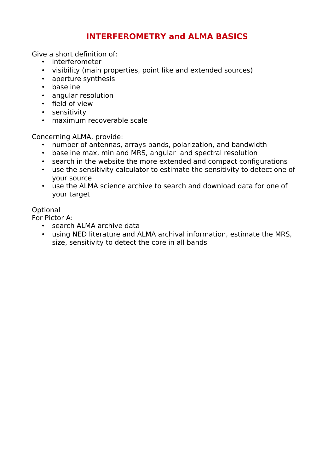## **INTERFEROMETRY and ALMA BASICS**

Give a short defnition of:

- interferometer
- visibility (main properties, point like and extended sources)
- aperture synthesis
- baseline
- angular resolution
- field of view
- sensitivity
- maximum recoverable scale

Concerning ALMA, provide:

- number of antennas, arrays bands, polarization, and bandwidth
- baseline max, min and MRS, angular and spectral resolution
- search in the website the more extended and compact confgurations
- use the sensitivity calculator to estimate the sensitivity to detect one of your source
- use the ALMA science archive to search and download data for one of your target

## **Optional**

For Pictor A:

- search ALMA archive data
- using NED literature and ALMA archival information, estimate the MRS, size, sensitivity to detect the core in all bands